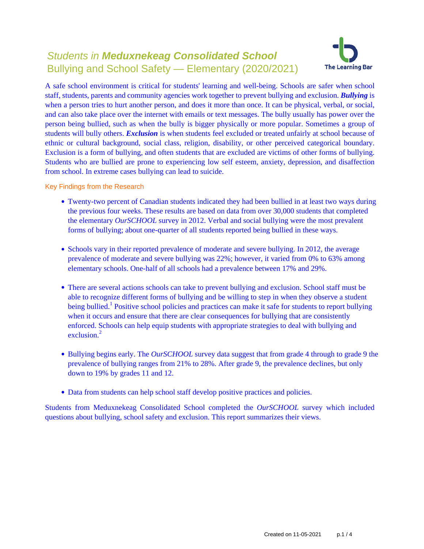# Students in **Meduxnekeag Consolidated School** Bullying and School Safety — Elementary (2020/2021)



A safe school environment is critical for students' learning and well-being. Schools are safer when school staff, students, parents and community agencies work together to prevent bullying and exclusion. *Bullying* is when a person tries to hurt another person, and does it more than once. It can be physical, verbal, or social, and can also take place over the internet with emails or text messages. The bully usually has power over the person being bullied, such as when the bully is bigger physically or more popular. Sometimes a group of students will bully others. *Exclusion* is when students feel excluded or treated unfairly at school because of ethnic or cultural background, social class, religion, disability, or other perceived categorical boundary. Exclusion is a form of bullying, and often students that are excluded are victims of other forms of bullying. Students who are bullied are prone to experiencing low self esteem, anxiety, depression, and disaffection from school. In extreme cases bullying can lead to suicide.

Key Findings from the Research

- Twenty-two percent of Canadian students indicated they had been bullied in at least two ways during the previous four weeks. These results are based on data from over 30,000 students that completed the elementary *OurSCHOOL* survey in 2012. Verbal and social bullying were the most prevalent forms of bullying; about one-quarter of all students reported being bullied in these ways.
- Schools vary in their reported prevalence of moderate and severe bullying. In 2012, the average prevalence of moderate and severe bullying was 22%; however, it varied from 0% to 63% among elementary schools. One-half of all schools had a prevalence between 17% and 29%.
- There are several actions schools can take to prevent bullying and exclusion. School staff must be able to recognize different forms of bullying and be willing to step in when they observe a student being bullied.<sup>1</sup> Positive school policies and practices can make it safe for students to report bullying when it occurs and ensure that there are clear consequences for bullying that are consistently enforced. Schools can help equip students with appropriate strategies to deal with bullying and exclusion $^2$
- Bullying begins early. The *OurSCHOOL* survey data suggest that from grade 4 through to grade 9 the prevalence of bullying ranges from 21% to 28%. After grade 9, the prevalence declines, but only down to 19% by grades 11 and 12.
- Data from students can help school staff develop positive practices and policies.

Students from Meduxnekeag Consolidated School completed the *OurSCHOOL* survey which included questions about bullying, school safety and exclusion. This report summarizes their views.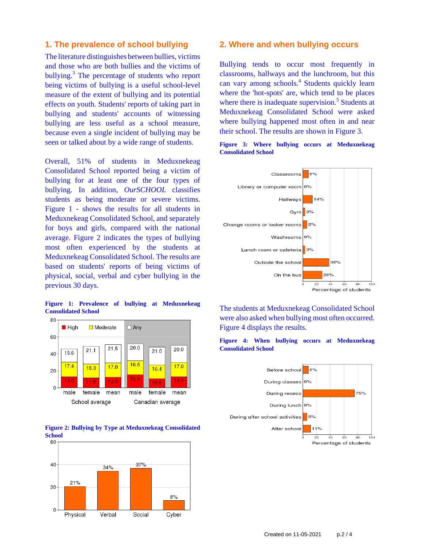### **1. The prevalence of school bullying**

The literature distinguishes between bullies, victims and those who are both bullies and the victims of bullying.<sup>3</sup> The percentage of students who report being victims of bullying is a useful school-level measure of the extent of bullying and its potential effects on youth. Students' reports of taking part in bullying and students' accounts of witnessing bullying are less useful as a school measure, because even a single incident of bullying may be seen or talked about by a wide range of students.

Overall, 51% of students in Meduxnekeag Consolidated School reported being a victim of bullying for at least one of the four types of bullying. In addition, *OurSCHOOL* classifies students as being moderate or severe victims. Figure 1 - shows the results for all students in Meduxnekeag Consolidated School, and separately for boys and girls, compared with the national average. Figure 2 indicates the types of bullying most often experienced by the students at Meduxnekeag Consolidated School. The results are based on students' reports of being victims of physical, social, verbal and cyber bullying in the previous 30 days.

**Figure 1: Prevalence of bullying at Meduxnekeag Consolidated School**







### **2. Where and when bullying occurs**

Bullying tends to occur most frequently in classrooms, hallways and the lunchroom, but this can vary among schools.<sup>4</sup> Students quickly learn where the 'hot-spots' are, which tend to be places where there is inadequate supervision.<sup>5</sup> Students at Meduxnekeag Consolidated School were asked where bullying happened most often in and near their school. The results are shown in Figure 3.





The students at Meduxnekeag Consolidated School were also asked when bullying most often occurred. Figure 4 displays the results.



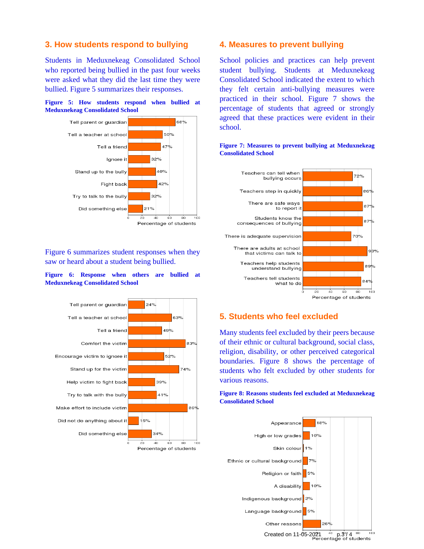## **3. How students respond to bullying**

Students in Meduxnekeag Consolidated School who reported being bullied in the past four weeks were asked what they did the last time they were bullied. Figure 5 summarizes their responses.





Figure 6 summarizes student responses when they saw or heard about a student being bullied.

#### **Figure 6: Response when others are bullied at Meduxnekeag Consolidated School**



### **4. Measures to prevent bullying**

School policies and practices can help prevent student bullying. Students at Meduxnekeag Consolidated School indicated the extent to which they felt certain anti-bullying measures were practiced in their school. Figure 7 shows the percentage of students that agreed or strongly agreed that these practices were evident in their school.



### **Figure 7: Measures to prevent bullying at Meduxnekeag Consolidated School**

# **5. Students who feel excluded**

Many students feel excluded by their peers because of their ethnic or cultural background, social class, religion, disability, or other perceived categorical boundaries. Figure 8 shows the percentage of students who felt excluded by other students for various reasons.

### **Figure 8: Reasons students feel excluded at Meduxnekeag Consolidated School**